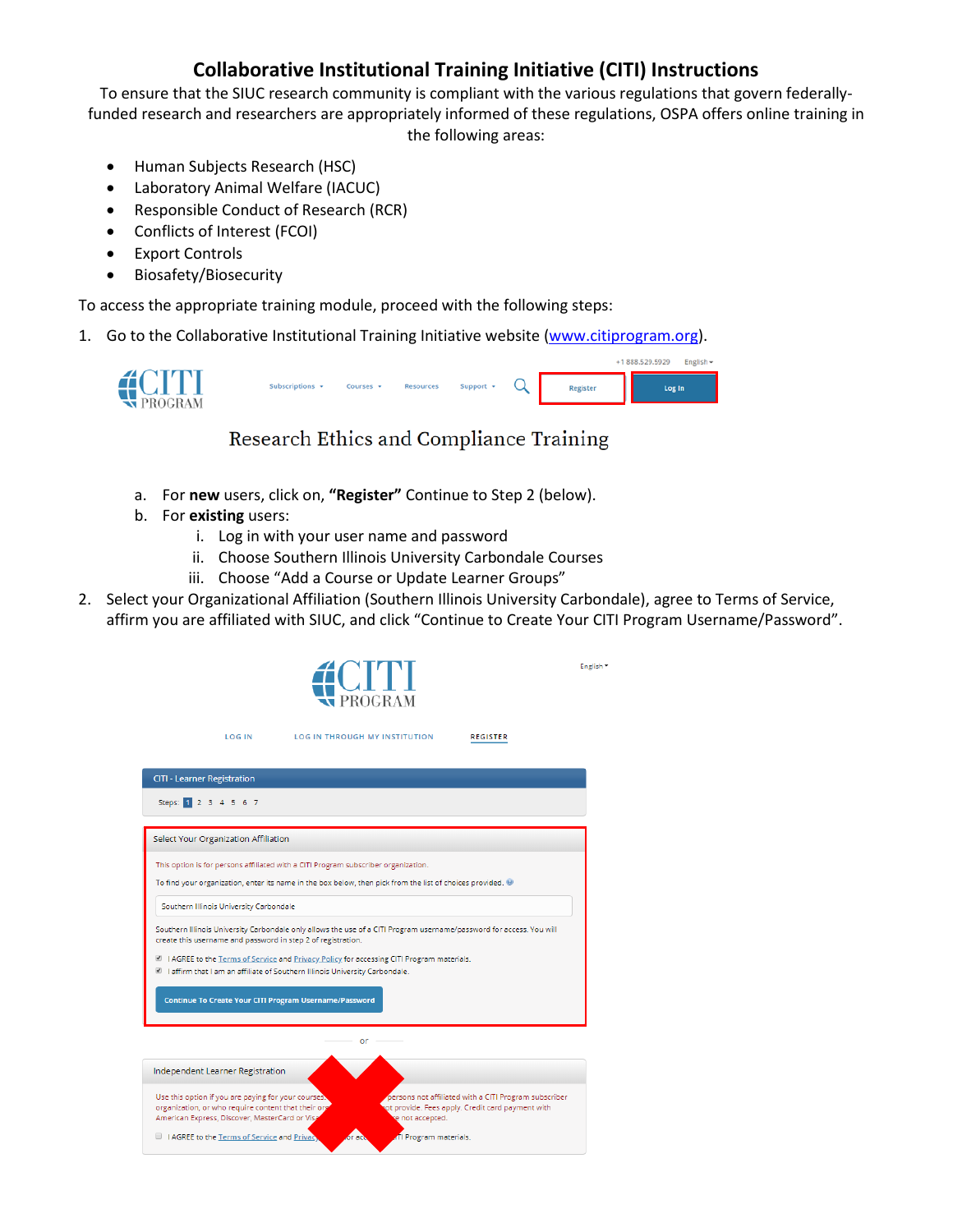# **Collaborative Institutional Training Initiative (CITI) Instructions**

To ensure that the SIUC research community is compliant with the various regulations that govern federallyfunded research and researchers are appropriately informed of these regulations, OSPA offers online training in the following areas:

- Human Subjects Research (HSC)
- Laboratory Animal Welfare (IACUC)
- Responsible Conduct of Research (RCR)
- Conflicts of Interest (FCOI)
- Export Controls
- Biosafety/Biosecurity

To access the appropriate training module, proceed with the following steps:

1. Go to the Collaborative Institutional Training Initiative website [\(www.citiprogram.org\)](http://www.citiprogram.org/).



# Research Ethics and Compliance Training

- a. For **new** users, click on, **"Register"** Continue to Step 2 (below).
- b. For **existing** users:

**LOG IN** 

- i. Log in with your user name and password
- ii. Choose Southern Illinois University Carbondale Courses
- iii. Choose "Add a Course or Update Learner Groups"
- 2. Select your Organizational Affiliation (Southern Illinois University Carbondale), agree to Terms of Service, affirm you are affiliated with SIUC, and click "Continue to Create Your CITI Program Username/Password".

**REGISTER** 

English \*



| <b>CITI - Learner Registration</b>                                                                                                                                                                                                                                                                                                                              |                                                                                                                               |
|-----------------------------------------------------------------------------------------------------------------------------------------------------------------------------------------------------------------------------------------------------------------------------------------------------------------------------------------------------------------|-------------------------------------------------------------------------------------------------------------------------------|
| Steps: 1 2 3 4 5 6 7                                                                                                                                                                                                                                                                                                                                            |                                                                                                                               |
| Select Your Organization Affiliation                                                                                                                                                                                                                                                                                                                            |                                                                                                                               |
| This option is for persons affiliated with a CITI Program subscriber organization.<br>To find your organization, enter its name in the box below, then pick from the list of choices provided.                                                                                                                                                                  |                                                                                                                               |
| Southern Illinois University Carbondale                                                                                                                                                                                                                                                                                                                         |                                                                                                                               |
| Southern Illinois University Carbondale only allows the use of a CITI Program username/password for access. You will<br>create this username and password in step 2 of registration.<br>I AGREE to the Terms of Service and Privacy Policy for accessing CITI Program materials.<br>I affirm that I am an affiliate of Southern Illinois University Carbondale. |                                                                                                                               |
| <b>Continue To Create Your CITI Program Username/Password</b>                                                                                                                                                                                                                                                                                                   |                                                                                                                               |
|                                                                                                                                                                                                                                                                                                                                                                 | $or -$                                                                                                                        |
| Independent Learner Registration                                                                                                                                                                                                                                                                                                                                |                                                                                                                               |
| Use this option if you are paying for your courses.<br>organization, or who require content that their org<br>American Express, Discover, MasterCard or Visa                                                                                                                                                                                                    | persons not affiliated with a CITI Program subscriber<br>ot provide. Fees apply. Credit card payment with<br>re not accepted. |
| I AGREE to the Terms of Service and Privac,                                                                                                                                                                                                                                                                                                                     | TI Program materials.                                                                                                         |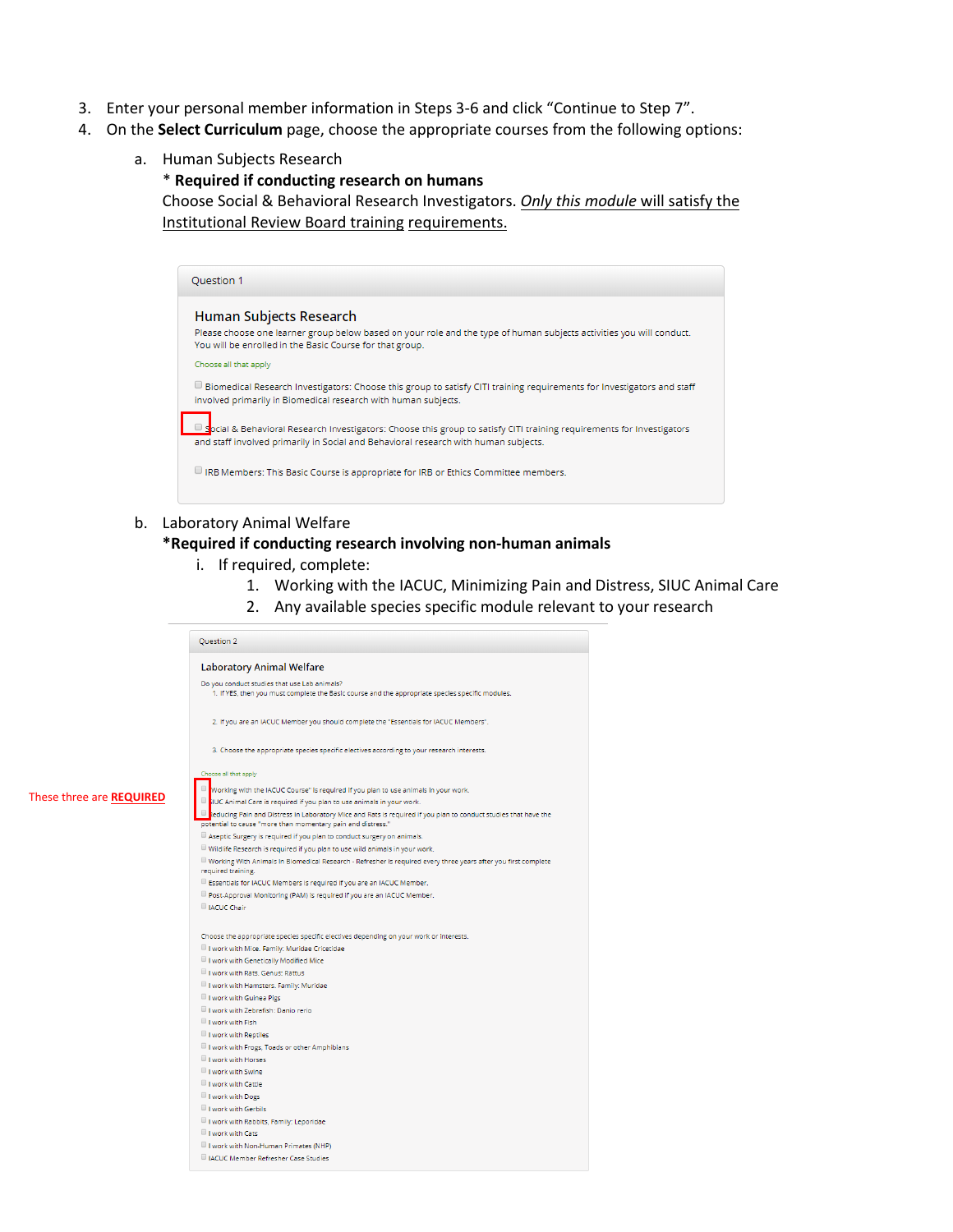- 3. Enter your personal member information in Steps 3-6 and click "Continue to Step 7".
- 4. On the **Select Curriculum** page, choose the appropriate courses from the following options:
	- a. Human Subjects Research

\* **Required if conducting research on humans**

Choose Social & Behavioral Research Investigators. *Only this module* will satisfy the Institutional Review Board training requirements.

| Question 1                                                                                                                                                                                                          |
|---------------------------------------------------------------------------------------------------------------------------------------------------------------------------------------------------------------------|
| Human Subjects Research<br>Please choose one learner group below based on your role and the type of human subjects activities you will conduct.<br>You will be enrolled in the Basic Course for that group.         |
| Choose all that apply                                                                                                                                                                                               |
| Biomedical Research Investigators: Choose this group to satisfy CITI training requirements for Investigators and staff<br>involved primarily in Biomedical research with human subjects.                            |
| $\Box$ Spcial & Behavioral Research Investigators: Choose this group to satisfy CITI training requirements for Investigators<br>and staff involved primarily in Social and Behavioral research with human subjects. |
| IRB Members: This Basic Course is appropriate for IRB or Ethics Committee members.                                                                                                                                  |
|                                                                                                                                                                                                                     |

## b. Laboratory Animal Welfare

#### **\*Required if conducting research involving non-human animals**

- i. If required, complete:
	- 1. Working with the IACUC, Minimizing Pain and Distress, SIUC Animal Care
	- 2. Any available species specific module relevant to your research

|                                 | <b>Ouestion 2</b>                                                                                                                                                                     |
|---------------------------------|---------------------------------------------------------------------------------------------------------------------------------------------------------------------------------------|
|                                 | <b>Laboratory Animal Welfare</b>                                                                                                                                                      |
|                                 | Do you conduct studies that use Lab animals?<br>1. If YES, then you must complete the Basic course and the appropriate species specific modules.                                      |
|                                 | 2. If you are an IACUC Member you should complete the "Essentials for IACUC Members".                                                                                                 |
|                                 | 3. Choose the appropriate species specific electives according to your research interests.                                                                                            |
|                                 | Choose all that apply                                                                                                                                                                 |
|                                 | Working with the IACUC Course" is required if you plan to use animals in your work.                                                                                                   |
| These three are <b>REQUIRED</b> | U <mark>li</mark> lUC Animal Care is required if you plan to use animals in your work.                                                                                                |
|                                 | $\Box$ reducing Pain and Distress in Laboratory Mice and Rats is required if you plan to conduct studies that have the<br>potential to cause "more than momentary pain and distress." |
|                                 | Aseptic Surgery is required if you plan to conduct surgery on animals.                                                                                                                |
|                                 | Wildlife Research is required if you plan to use wild animals in your work.                                                                                                           |
|                                 | $\Box$ Working With Animals In Biomedical Research - Refresher is required every three years after you first complete<br>required training.                                           |
|                                 | Essentials for IACUC Members is required if you are an IACUC Member.                                                                                                                  |
|                                 | Post-Approval Monitoring (PAM) is required if you are an IACUC Member.                                                                                                                |
|                                 | IACUC Chair                                                                                                                                                                           |
|                                 | Choose the appropriate species specific electives depending on your work or interests.                                                                                                |
|                                 | I work with Mice. Family: Muridae Cricetidae                                                                                                                                          |
|                                 | I work with Genetically Modified Mice                                                                                                                                                 |
|                                 | I work with Rats. Genus: Rattus                                                                                                                                                       |
|                                 | I work with Hamsters. Family: Muridae                                                                                                                                                 |
|                                 | I work with Guinea Pigs                                                                                                                                                               |
|                                 | I work with Zebrafish: Danio rerio                                                                                                                                                    |
|                                 | I work with Fish                                                                                                                                                                      |
|                                 | I work with Reptiles                                                                                                                                                                  |
|                                 | I work with Frogs, Toads or other Amphibians                                                                                                                                          |
|                                 | I work with Horses                                                                                                                                                                    |
|                                 | I work with Swine                                                                                                                                                                     |
|                                 | I work with Cattle                                                                                                                                                                    |
|                                 | I work with Dogs                                                                                                                                                                      |
|                                 | I work with Gerbils                                                                                                                                                                   |
|                                 | I work with Rabbits, Family: Leporidae<br>I work with Cats                                                                                                                            |
|                                 | I work with Non-Human Primates (NHP)                                                                                                                                                  |
|                                 | <b>INCUC Member Refresher Case Studies</b>                                                                                                                                            |
|                                 |                                                                                                                                                                                       |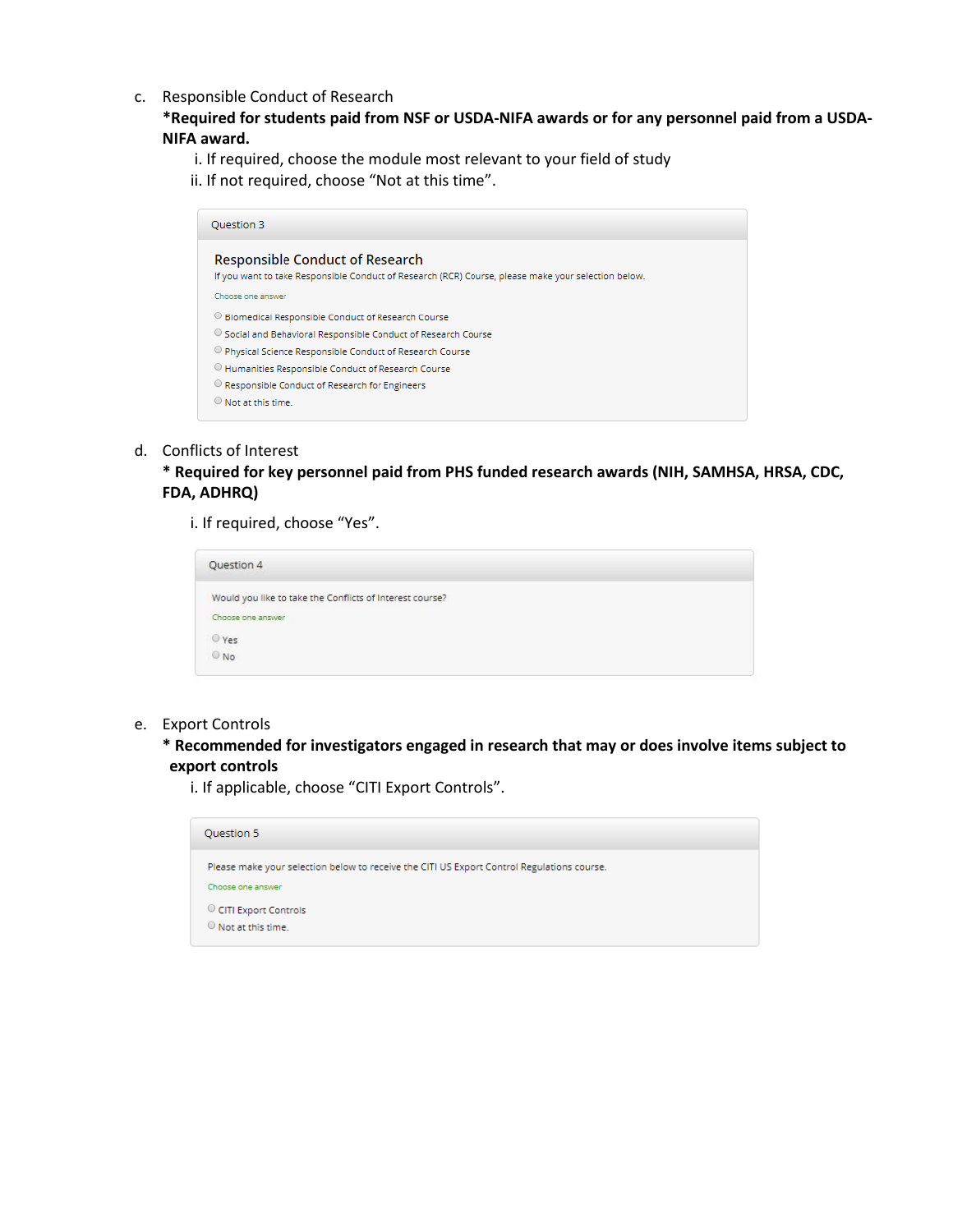c. Responsible Conduct of Research

## **\*Required for students paid from NSF or USDA-NIFA awards or for any personnel paid from a USDA-NIFA award.**

- i. If required, choose the module most relevant to your field of study
- ii. If not required, choose "Not at this time".

| Ouestion 3                                                                                                                                    |  |
|-----------------------------------------------------------------------------------------------------------------------------------------------|--|
| <b>Responsible Conduct of Research</b><br>If you want to take Responsible Conduct of Research (RCR) Course, please make your selection below. |  |
| Choose one answer                                                                                                                             |  |
| <sup>©</sup> Biomedical Responsible Conduct of Research Course                                                                                |  |
| <sup>O</sup> Social and Behavioral Responsible Conduct of Research Course                                                                     |  |
| O Physical Science Responsible Conduct of Research Course                                                                                     |  |
| <sup>1</sup> Humanities Responsible Conduct of Research Course                                                                                |  |
| O Responsible Conduct of Research for Engineers                                                                                               |  |
| $\Theta$ Not at this time.                                                                                                                    |  |

## d. Conflicts of Interest

## **\* Required for key personnel paid from PHS funded research awards (NIH, SAMHSA, HRSA, CDC, FDA, ADHRQ)**

i. If required, choose "Yes".

| Question 4                                                                    |
|-------------------------------------------------------------------------------|
| Would you like to take the Conflicts of Interest course?<br>Choose one answer |
| $^{\circ}$ Yes<br>$^{\circ}$ No                                               |

### e. Export Controls

**\* Recommended for investigators engaged in research that may or does involve items subject to export controls**

i. If applicable, choose "CITI Export Controls".

| Ouestion 5                                                                                                      |
|-----------------------------------------------------------------------------------------------------------------|
| Please make your selection below to receive the CITI US Export Control Regulations course.<br>Choose one answer |
| CITI Export Controls<br>$\odot$ Not at this time.                                                               |